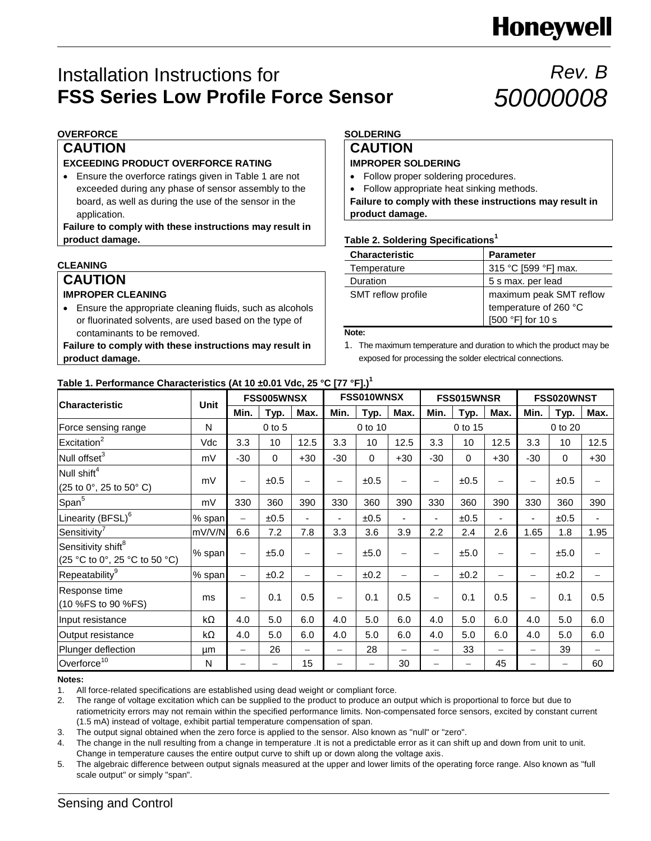# **Honeywell**

### Installation Instructions for **FSS Series Low Profile Force Sensor**

## *Rev. B 50000008*

### **OVERFORCE**

### **CAUTION**

### **EXCEEDING PRODUCT OVERFORCE RATING**

 Ensure the overforce ratings given in Table 1 are not exceeded during any phase of sensor assembly to the board, as well as during the use of the sensor in the application.

**Failure to comply with these instructions may result in product damage.**

### **CLEANING**

### **CAUTION IMPROPER CLEANING**

 Ensure the appropriate cleaning fluids, such as alcohols or fluorinated solvents, are used based on the type of contaminants to be removed.

**Failure to comply with these instructions may result in product damage.**

### **SOLDERING**

### **CAUTION**

### **IMPROPER SOLDERING**

- Follow proper soldering procedures.
- Follow appropriate heat sinking methods.

**Failure to comply with these instructions may result in product damage.**

### **Table 2. Soldering Specifications<sup>1</sup>**

| <b>Characteristic</b> | <b>Parameter</b>                                 |
|-----------------------|--------------------------------------------------|
| Temperature           | 315 °C [599 °F] max.                             |
| Duration              | 5 s max. per lead                                |
| SMT reflow profile    | maximum peak SMT reflow<br>temperature of 260 °C |
|                       | [500 °F] for 10 s                                |

**Note:**

1. The maximum temperature and duration to which the product may be exposed for processing the solder electrical connections.

### **Table 1. Performance Characteristics (At 10 ±0.01 Vdc, 25 °C [77 °F].) 1**

| <b>Characteristic</b>                                                                        | <b>Unit</b> | FSS005WNSX               |          |                          | FSS010WNSX        |             |                          | FSS015WNSR        |          |                          | FSS020WNST               |                          |                   |
|----------------------------------------------------------------------------------------------|-------------|--------------------------|----------|--------------------------|-------------------|-------------|--------------------------|-------------------|----------|--------------------------|--------------------------|--------------------------|-------------------|
|                                                                                              |             | Min.                     | Typ.     | Max.                     | Min.              | Typ.        | Max.                     | Min.              | Typ.     | Max.                     | Min.                     | Typ.                     | Max.              |
| Force sensing range                                                                          | N           | $0$ to $5$               |          | 0 to 10                  |                   |             | 0 to 15                  |                   |          | 0 to 20                  |                          |                          |                   |
| Excitation <sup>2</sup>                                                                      | Vdc         | 3.3                      | 10       | 12.5                     | 3.3               | 10          | 12.5                     | 3.3               | 10       | 12.5                     | 3.3                      | 10                       | 12.5              |
| Null offset <sup>3</sup>                                                                     | mV          | $-30$                    | $\Omega$ | $+30$                    | $-30$             | $\mathbf 0$ | $+30$                    | $-30$             | $\Omega$ | $+30$                    | $-30$                    | $\mathbf 0$              | $+30$             |
| Null shift <sup>4</sup><br>$(25 \text{ to } 0^{\circ}, 25 \text{ to } 50^{\circ} \text{ C})$ | mV          | $\qquad \qquad$          | ±0.5     | $\overline{\phantom{0}}$ | $\qquad \qquad -$ | ±0.5        |                          |                   | ±0.5     | $\overline{\phantom{0}}$ | $\overline{\phantom{0}}$ | ±0.5                     |                   |
| Span <sup>5</sup>                                                                            | mV          | 330                      | 360      | 390                      | 330               | 360         | 390                      | 330               | 360      | 390                      | 330                      | 360                      | 390               |
| Linearity (BFSL) <sup>6</sup>                                                                | % span      | $\overline{\phantom{0}}$ | ±0.5     | ٠                        | ۰.                | ±0.5        |                          | ٠                 | ±0.5     | $\blacksquare$           | ٠                        | ±0.5                     |                   |
| Sensitivity <sup>7</sup>                                                                     | mV/V/N      | 6.6                      | 7.2      | 7.8                      | 3.3               | 3.6         | 3.9                      | 2.2               | 2.4      | 2.6                      | 1.65                     | 1.8                      | 1.95              |
| Sensitivity shift <sup>8</sup><br>(25 °C to 0°, 25 °C to 50 °C)                              | % span      | $\qquad \qquad -$        | ±5.0     | $\overline{\phantom{0}}$ | $\qquad \qquad -$ | ±5.0        | -                        | $\qquad \qquad -$ | ±5.0     | -                        | $\qquad \qquad -$        | ±5.0                     |                   |
| Repeatability <sup>9</sup>                                                                   | % span      | $\qquad \qquad -$        | ±0.2     | $\overline{\phantom{0}}$ | $\qquad \qquad -$ | ±0.2        | -                        | $\qquad \qquad -$ | ±0.2     | -                        | $\overline{\phantom{0}}$ | ±0.2                     |                   |
| Response time<br>(10 %FS to 90 %FS)                                                          | ms          | -                        | 0.1      | 0.5                      |                   | 0.1         | 0.5                      |                   | 0.1      | 0.5                      | $\overline{\phantom{0}}$ | 0.1                      | 0.5               |
| Input resistance                                                                             | kΩ          | 4.0                      | 5.0      | 6.0                      | 4.0               | 5.0         | 6.0                      | 4.0               | 5.0      | 6.0                      | 4.0                      | 5.0                      | 6.0               |
| Output resistance                                                                            | kΩ          | 4.0                      | 5.0      | 6.0                      | 4.0               | 5.0         | 6.0                      | 4.0               | 5.0      | 6.0                      | 4.0                      | 5.0                      | 6.0               |
| Plunger deflection                                                                           | μm          | $\overline{\phantom{0}}$ | 26       | $\overline{\phantom{0}}$ |                   | 28          | $\overline{\phantom{0}}$ |                   | 33       | $\overline{\phantom{0}}$ | $\overline{\phantom{0}}$ | 39                       | $\qquad \qquad -$ |
| Overforce <sup>10</sup>                                                                      | N           |                          |          | 15                       |                   | -           | 30                       |                   |          | 45                       |                          | $\overline{\phantom{0}}$ | 60                |

#### **Notes:**

1. All force-related specifications are established using dead weight or compliant force.

2. The range of voltage excitation which can be supplied to the product to produce an output which is proportional to force but due to ratiometricity errors may not remain within the specified performance limits. Non-compensated force sensors, excited by constant current (1.5 mA) instead of voltage, exhibit partial temperature compensation of span.

3. The output signal obtained when the zero force is applied to the sensor. Also known as "null" or "zero".

4. The change in the null resulting from a change in temperature .It is not a predictable error as it can shift up and down from unit to unit. Change in temperature causes the entire output curve to shift up or down along the voltage axis.

5. The algebraic difference between output signals measured at the upper and lower limits of the operating force range. Also known as "full scale output" or simply "span".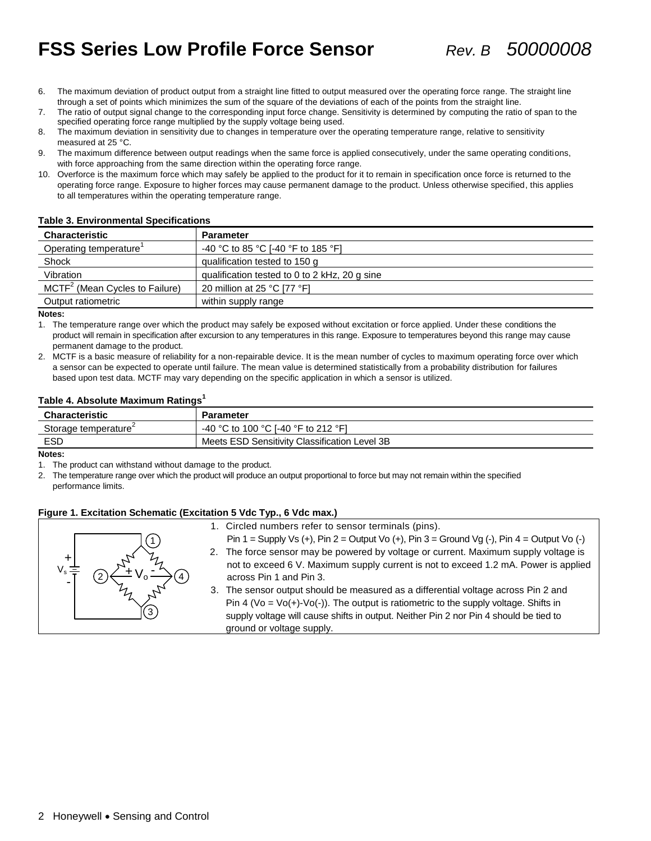### **FSS Series Low Profile Force Sensor** *Rev. B 50000008*

- 6. The maximum deviation of product output from a straight line fitted to output measured over the operating force range. The straight line through a set of points which minimizes the sum of the square of the deviations of each of the points from the straight line.
- 7. The ratio of output signal change to the corresponding input force change. Sensitivity is determined by computing the ratio of span to the specified operating force range multiplied by the supply voltage being used.
- 8. The maximum deviation in sensitivity due to changes in temperature over the operating temperature range, relative to sensitivity measured at 25 °C.
- 9. The maximum difference between output readings when the same force is applied consecutively, under the same operating conditions, with force approaching from the same direction within the operating force range.
- 10. Overforce is the maximum force which may safely be applied to the product for it to remain in specification once force is returned to the operating force range. Exposure to higher forces may cause permanent damage to the product. Unless otherwise specified, this applies to all temperatures within the operating temperature range.

| Table of Ellvironmental Opeenfoations      |                                               |  |  |
|--------------------------------------------|-----------------------------------------------|--|--|
| <b>Characteristic</b>                      | <b>Parameter</b>                              |  |  |
| Operating temperature                      | -40 °C to 85 °C [-40 °F to 185 °F]            |  |  |
| Shock                                      | qualification tested to 150 g                 |  |  |
| Vibration                                  | qualification tested to 0 to 2 kHz, 20 g sine |  |  |
| MCTF <sup>2</sup> (Mean Cycles to Failure) | 20 million at 25 °C [77 °F]                   |  |  |
| Output ratiometric                         | within supply range                           |  |  |

#### **Table 3. Environmental Specifications**

**Notes:**

1. The temperature range over which the product may safely be exposed without excitation or force applied. Under these conditions the product will remain in specification after excursion to any temperatures in this range. Exposure to temperatures beyond this range may cause permanent damage to the product.

2. MCTF is a basic measure of reliability for a non-repairable device. It is the mean number of cycles to maximum operating force over which a sensor can be expected to operate until failure. The mean value is determined statistically from a probability distribution for failures based upon test data. MCTF may vary depending on the specific application in which a sensor is utilized.

### **Table 4. Absolute Maximum Ratings<sup>1</sup>**

| Characteristic                   | <b>Parameter</b>                              |
|----------------------------------|-----------------------------------------------|
| Storage temperature <sup>2</sup> | -40 °C to 100 °C I-40 °F to 212 °F1           |
| ESD                              | Meets ESD Sensitivity Classification Level 3B |

**Notes:**

1. The product can withstand without damage to the product.

2. The temperature range over which the product will produce an output proportional to force but may not remain within the specified performance limits.

### **Figure 1. Excitation Schematic (Excitation 5 Vdc Typ., 6 Vdc max.)**



Pin 1 = Supply Vs (+), Pin 2 = Output Vo (+), Pin 3 = Ground Vg (-), Pin 4 = Output Vo (-)

- 2. The force sensor may be powered by voltage or current. Maximum supply voltage is not to exceed 6 V. Maximum supply current is not to exceed 1.2 mA. Power is applied across Pin 1 and Pin 3.
- 3. The sensor output should be measured as a differential voltage across Pin 2 and Pin 4 (Vo =  $Vo(+)$ -Vo(-)). The output is ratiometric to the supply voltage. Shifts in supply voltage will cause shifts in output. Neither Pin 2 nor Pin 4 should be tied to ground or voltage supply.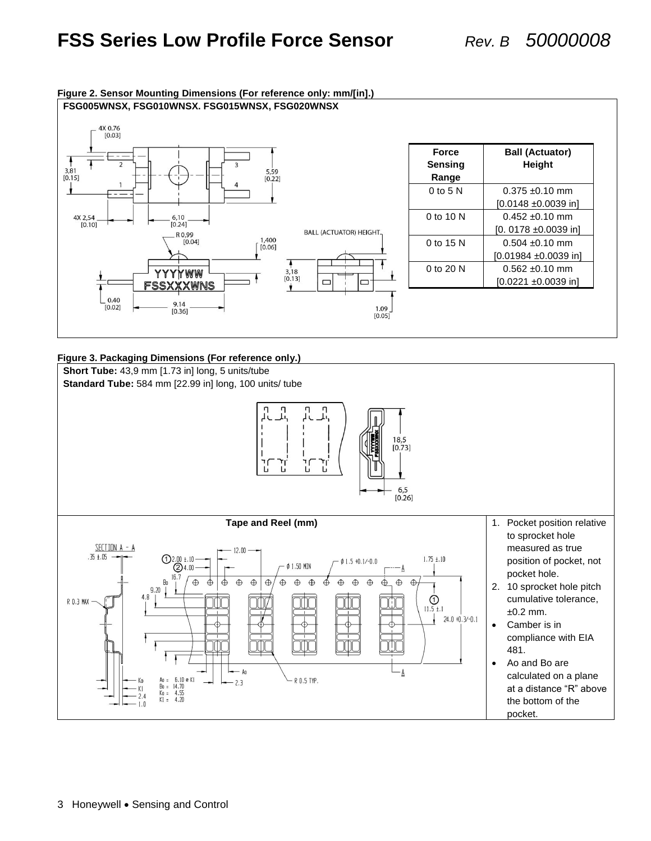

### **Figure 2. Sensor Mounting Dimensions (For reference only: mm/[in].)**

### **Figure 3. Packaging Dimensions (For reference only.)**

**Short Tube:** 43,9 mm [1.73 in] long, 5 units/tube **Standard Tube:** 584 mm [22.99 in] long, 100 units/ tube 18,5  $[0.73]$ י<br>ת Б  $6,5$  $[0.26]$ **Tape and Reel (mm)** 1. Pocket position relative to sprocket hole SECTION A - A measured as true  $12.00$  $.35 \pm .05$  $\bigodot^{2.00}_{\bigodot^{4.10}}$  $1.75 \pm .10$  $\phi$  1.5 +0.1/-0.0 position of pocket, not  $\phi$  1.50 MIN pocket hole.  $16.7$ Bo  $\oplus$  $\oplus$  $\bigoplus$  $\oplus$  $\oplus$  $\oplus$  $\bigoplus$  $\oplus$  $\bigoplus$  $\oplus$  $\oplus$  $\oplus$  $\dot{\oplus}$  $\oplus$  $\bigoplus$ ⊕ 2. 10 sprocket hole pitch  $9.20$  $\bigodot$ <br>11.5 ±.1 cumulative tolerance, R 0.3 MA)  $±0.2$  mm.  $24.0 + 0.3/- 0.1$  Camber is in compliance with EIA 481. Ao and Bo are Ao - A calculated on a plane Ao = 6.10 e K1<br>Bo = 14.70<br>Ko = 4.55<br>K1 = 4.20 R 0.5 TYP.  $2.3$ at a distance "R" above  $K1$ 2.4 the bottom of the  $1.0$ pocket.